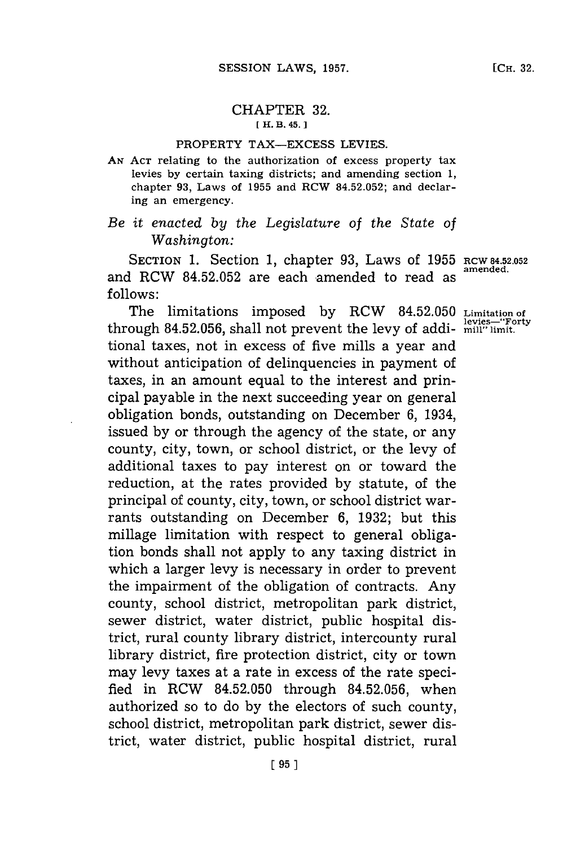## CHAPTER **32. [ H. 13. 45.]1**

## PROPERTY **TAX-EXCESS** LEVIES.

**AN ACT** relating to the authorization of excess property tax levies **by** certain taxing districts; and amending section **1,** chapter **93,** Laws of **1955** and RCW **84.52.052;** and declaring an emergency.

## *Be it enacted by the Legislature of the State of Washington:*

SECTION **1.** Section **1,** chapter **93,** Laws of **1955 RCW 84.52.052** and RCW 84.52.052 are each amended to read as **follows:**

The limitations imposed **by** RCW **84.52.050 Limitation of levies-"Forty** through **84.52.056,** shall not prevent the levy of addi- **mill" limit.** tional taxes, not in excess of five mills a year and without anticipation of delinquencies in payment of taxes, in an amount equal to the interest and principal payable in the next succeeding year on general obligation bonds, outstanding on December **6,** 1934, issued **by** or through the agency of the state, or any county, city, town, or school district, or the levy of additional taxes to pay interest on or toward the reduction, at the rates provided **by** statute, of the principal of county, city, town, or school district warrants outstanding on December **6, 1932;** but this millage limitation with respect to general obligation bonds shall not apply to any taxing district in which a larger levy is necessary in order to prevent the impairment of the obligation of contracts. Any county, school district, metropolitan park district, sewer district, water district, public hospital district, rural county library district, intercounty rural library district, fire protection district, city or town may levy taxes at a rate in excess of the rate specified in RCW **84.52.050** through **84.52.056,** when authorized so to do **by** the electors of such county, school district, metropolitan park district, sewer district, water district, public hospital district, rural